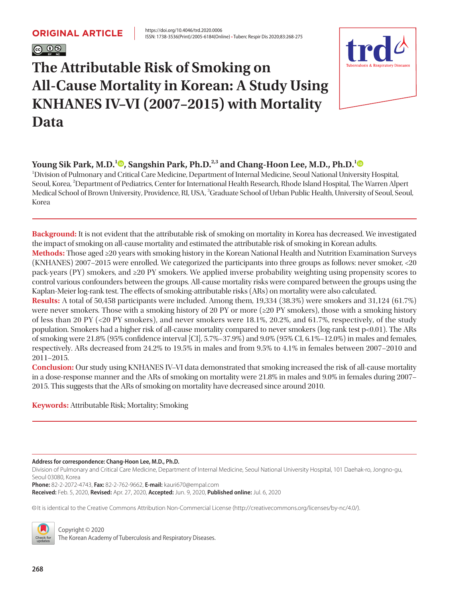# $\circ$  0  $\circ$

# **The Attributable Risk of Smoking on All-Cause Mortality in Korean: A Study Using KNHANES IV–VI (2007–2015) with Mortality Data**



### **Young Sik Park[,](https://orcid.org/0000-0003-0235-6943) M.D.<sup>[1](https://orcid.org/0000-0001-9960-1524)</sup><sup>®</sup>, Sangshin Park, Ph.D.<sup>2,3</sup> and Chang-Hoon Lee, M.D., Ph.D.<sup>1</sup><sup>®</sup>**

1 Division of Pulmonary and Critical Care Medicine, Department of Internal Medicine, Seoul National University Hospital, Seoul, Korea, <sup>2</sup>Department of Pediatrics, Center for International Health Research, Rhode Island Hospital, The Warren Alpert Medical School of Brown University, Providence, RI, USA,  $^3$ Graduate School of Urban Public Health, University of Seoul, Seoul, Korea

**Background:** It is not evident that the attributable risk of smoking on mortality in Korea has decreased. We investigated the impact of smoking on all-cause mortality and estimated the attributable risk of smoking in Korean adults. **Methods:** Those aged ≥20 years with smoking history in the Korean National Health and Nutrition Examination Surveys (KNHANES) 2007–2015 were enrolled. We categorized the participants into three groups as follows: never smoker, <20 pack-years (PY) smokers, and ≥20 PY smokers. We applied inverse probability weighting using propensity scores to control various confounders between the groups. All-cause mortality risks were compared between the groups using the Kaplan-Meier log-rank test. The effects of smoking-attributable risks (ARs) on mortality were also calculated. **Results:** A total of 50,458 participants were included. Among them, 19,334 (38.3%) were smokers and 31,124 (61.7%) were never smokers. Those with a smoking history of 20 PY or more (≥20 PY smokers), those with a smoking history of less than 20 PY (<20 PY smokers), and never smokers were 18.1%, 20.2%, and 61.7%, respectively, of the study population. Smokers had a higher risk of all-cause mortality compared to never smokers (log-rank test p<0.01). The ARs

of smoking were 21.8% (95% confidence interval [CI], 5.7%–37.9%) and 9.0% (95% CI, 6.1%–12.0%) in males and females, respectively. ARs decreased from 24.2% to 19.5% in males and from 9.5% to 4.1% in females between 2007–2010 and 2011–2015.

**Conclusion:** Our study using KNHANES IV–VI data demonstrated that smoking increased the risk of all-cause mortality in a dose-response manner and the ARs of smoking on mortality were 21.8% in males and 9.0% in females during 2007– 2015. This suggests that the ARs of smoking on mortality have decreased since around 2010.

**Keywords:** Attributable Risk; Mortality; Smoking

**Address for correspondence: Chang-Hoon Lee, M.D., Ph.D.** 

Division of Pulmonary and Critical Care Medicine, Department of Internal Medicine, Seoul National University Hospital, 101 Daehak-ro, Jongno-gu, Seoul 03080, Korea

**Phone:** 82-2-2072-4743, **Fax:** 82-2-762-9662, **E-mail:** [kauri670@empal.com](mailto:kauri670@empal.com) **Received:** Feb. 5, 2020, **Revised:** Apr. 27, 2020, **Accepted:** Jun. 9, 2020, **Published online:** Jul. 6, 2020

cc It is identical to the Creative Commons Attribution Non-Commercial License (http://creativecommons.org/licenses/by-nc/4.0/).



Copyright © 2020 The Korean Academy of Tuberculosis and Respiratory Diseases.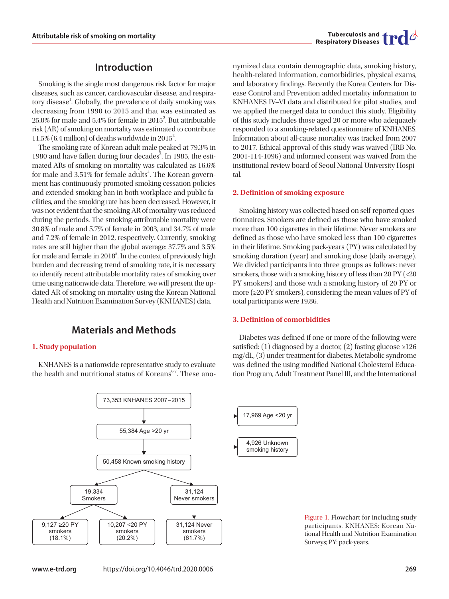### **Introduction**

Smoking is the single most dangerous risk factor for major diseases, such as cancer, cardiovascular disease, and respiratory disease<sup>1</sup>. Globally, the prevalence of daily smoking was decreasing from 1990 to 2015 and that was estimated as  $25.0\%$  for male and  $5.4\%$  for female in  $2015^2$ . But attributable risk (AR) of smoking on mortality was estimated to contribute 11.5% (6.4 million) of deaths worldwide in 2015<sup>2</sup>.

The smoking rate of Korean adult male peaked at 79.3% in 1980 and have fallen during four decades<sup>3</sup>. In 1985, the estimated ARs of smoking on mortality was calculated as 16.6% for male and 3.51% for female adults<sup>4</sup>. The Korean government has continuously promoted smoking cessation policies and extended smoking ban in both workplace and public facilities, and the smoking rate has been decreased. However, it was not evident that the smoking-AR of mortality was reduced during the periods. The smoking-attributable mortality were 30.8% of male and 5.7% of female in 2003, and 34.7% of male and 7.2% of female in 2012, respectively. Currently, smoking rates are still higher than the global average: 37.7% and 3.5% for male and female in  $2018^5$ . In the context of previously high burden and decreasing trend of smoking rate, it is necessary to identify recent attributable mortality rates of smoking over time using nationwide data. Therefore, we will present the updated AR of smoking on mortality using the Korean National Health and Nutrition Examination Survey (KNHANES) data.

### **Materials and Methods**

#### **1. Study population**

KNHANES is a nationwide representative study to evaluate the health and nutritional status of Koreans $67$ . These ano-

nymized data contain demographic data, smoking history, health-related information, comorbidities, physical exams, and laboratory findings. Recently the Korea Centers for Disease Control and Prevention added mortality information to KNHANES IV–VI data and distributed for pilot studies, and we applied the merged data to conduct this study. Eligibility of this study includes those aged 20 or more who adequately responded to a smoking-related questionnaire of KNHANES. Information about all-cause mortality was tracked from 2007 to 2017. Ethical approval of this study was waived (IRB No. 2001-114-1096) and informed consent was waived from the institutional review board of Seoul National University Hospital.

#### **2. Definition of smoking exposure**

Smoking history was collected based on self-reported questionnaires. Smokers are defined as those who have smoked more than 100 cigarettes in their lifetime. Never smokers are defined as those who have smoked less than 100 cigarettes in their lifetime. Smoking pack-years (PY) was calculated by smoking duration (year) and smoking dose (daily average). We divided participants into three groups as follows: never smokers, those with a smoking history of less than 20 PY (<20 PY smokers) and those with a smoking history of 20 PY or more (≥20 PY smokers), considering the mean values of PY of total participants were 19.86.

#### **3. Definition of comorbidities**

Diabetes was defined if one or more of the following were satisfied: (1) diagnosed by a doctor, (2) fasting glucose  $\geq 126$ mg/dL, (3) under treatment for diabetes. Metabolic syndrome was defined the using modified National Cholesterol Education Program, Adult Treatment Panel III, and the International



Figure 1. Flowchart for including study participants. KNHANES: Korean National Health and Nutrition Examination Surveys; PY: pack-years.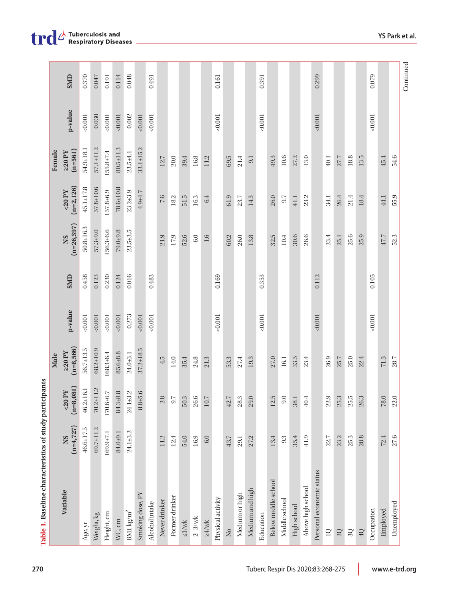|                            |                           |                                 | Male                        |         |            |                            |                         | Female                |           |  |
|----------------------------|---------------------------|---------------------------------|-----------------------------|---------|------------|----------------------------|-------------------------|-----------------------|-----------|--|
| Variable                   | $(n=4, 727)$<br><b>NS</b> | $(n=8, 081)$<br>$<20$ PY        | $(n=8,566)$<br>$\geq$ 20 PY | p-value | <b>GMD</b> | $(n=26, 397)$<br><b>NS</b> | $(n=2, 126)$<br>$20$ PY | $(n=561)$<br>$>20$ PY | p-value   |  |
| Age, yr                    | $46.6 \pm 17.5$           | $46.2 \pm 16.1$                 | $56.7 + 13.5$               | 0.001   | 0.458      | $50.8 + 16.3$              | $45.1 \pm 17.8$         | 54.9±18.1             | 0.001     |  |
| Weight, kg                 | $69.7 \pm 11.2$           | $70.2 \pm 11.2$                 | $68.2 \pm 10.9$             | 0.001   | 0.123      | $57.3 + 9.0$               | $57.8 \pm 10.6$         | $57.1 + 11.2$         | 0.030     |  |
| Height, cm                 | $169.9 + 7.1$             | 170.6±6.7                       | $168.3 + 6.4$               | 0.001   | 0.230      | $156.3+6.6$                | $157.8 + 6.9$           | $155.8 \pm 7.4$       | 0.001     |  |
| WC, cm                     | 84.0±9.1                  | 84.3±8.8                        | 85.6±8.8                    | 0.001   | 0.124      | $79.0 + 9.8$               | $78.6 \pm 10.8$         | $80.5 \pm 1.3$        | 0.001     |  |
| BMI, $\text{kg/m}^2$       | $24.1 + 3.2$              | $\pm 3.2$<br>24.1.              | $24.0 + 3.1$                | 0.273   | 0.016      | $23.5 + 3.5$               | $23.2 \pm 3.9$          | $23.5 + 4.1$          | $0.002\,$ |  |
| Smoking dose, PY           |                           | $8.8 + 5.6$                     | $37.2 \pm 18.5$             | 0.001   |            |                            | $4.9 + 4.7$             | $33.1 + 15.2$         | 0.001     |  |
| Alcohol intake             |                           |                                 |                             | 0.001   | 0.483      |                            |                         |                       | 10000     |  |
| Never drinker              | 11.2                      | $2.8\,$                         | 4.5                         |         |            | 21.9                       | $7.6\,$                 | $12.7\,$              |           |  |
| Former drinker             | 12.4                      | ΣĒ,                             | 14.0                        |         |            | 17.9                       | $18.2\,$                | $20.0\,$              |           |  |
| $\leq1/\text{wk}$          | 54.0                      | 50.3                            | 35.4                        |         |            | 52.6                       | 51.5                    | 39.4                  |           |  |
| $2-3/wk$                   | 16.9                      | 26.6                            | 24.8                        |         |            | $6.0\,$                    | 16.3                    | 16.8                  |           |  |
| $\geq 4/wk$                | $6.0\,$                   | $10.7\,$                        | 21.3                        |         |            | 1.6                        | 6.4                     | 11.2                  |           |  |
| Physical activity          |                           |                                 |                             | 0.001   | 0.169      |                            |                         |                       | 10010     |  |
| $\rm \stackrel{O}{\simeq}$ | 43.7                      | $42.7$                          | 53.3                        |         |            | 60.2                       | 61.9                    | 69.5                  |           |  |
| Medium or high             | 29.1                      | $\mathfrak{L}$<br>28            | $27.4\,$                    |         |            | $26.0\,$                   | $23.7\,$                | 21.4                  |           |  |
| Medium and high            | 27.2                      | 29.0                            | 19.3                        |         |            | 13.8                       | 14.3                    | 9.1                   |           |  |
| Education                  |                           |                                 |                             | 0.001   | 0.353      |                            |                         |                       | 1001      |  |
| Below middle school        | 13.4                      | $\mathbf{E}$<br>$\overline{12}$ | 27.0                        |         |            | 32.5                       | 26.0                    | 49.3                  |           |  |
| Middle school              | 9.3                       | 9.0                             | $16.1\,$                    |         |            | 10.4                       | 9.7                     | 10.6                  |           |  |
| High school                | 35.4                      | 38.1                            | 33.5                        |         |            | 30.6                       | 41.1                    | 27.2                  |           |  |
| Above high school          | 41.9                      | 40.4                            | 23.4                        |         |            | 26.6                       | 23.2                    | 13.0                  |           |  |
| Personal economic status   |                           |                                 |                             | 0.001   | 0.112      |                            |                         |                       | 0.001     |  |
| $\square$                  | 22.7                      | c,<br>$\mathbf{z}$              | 26.9                        |         |            | 23.4                       | 34.1                    | 40.1                  |           |  |
| 2Q                         | 23.2                      | 25.3                            | $25.7$                      |         |            | 25.1                       | 26.4                    | 27.7                  |           |  |
| $3Q$                       | 25.3                      | $25.5\,$                        | 25.0                        |         |            | 25.6                       | 21.4                    | 18.8                  |           |  |
| $4{\rm Q}$                 | 28.8                      | 26.3                            | 22.4                        |         |            | 25.9                       | 18.4                    | 13.5                  |           |  |
| Occupation                 |                           |                                 |                             | 0.001   | 0.105      |                            |                         |                       | 1001      |  |
| Employed                   | 72.4                      | $78.0\,$                        | 71.3                        |         |            | 47.7                       | 44.1                    | 45.4                  |           |  |
| Unemployed                 | 27.6                      | 22.0                            | $28.7\,$                    |         |            | 52.3                       | 55.9                    | 54.6                  |           |  |

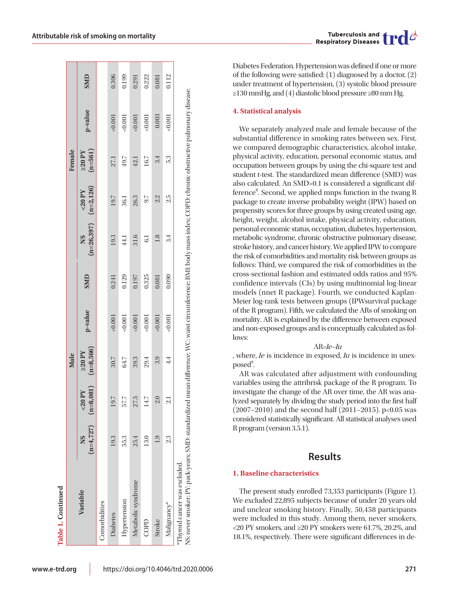|                                                                                                                                                                                                  |                |                                    | Male                    |          |            |                                       |         | Female                |         |       |
|--------------------------------------------------------------------------------------------------------------------------------------------------------------------------------------------------|----------------|------------------------------------|-------------------------|----------|------------|---------------------------------------|---------|-----------------------|---------|-------|
| Variable                                                                                                                                                                                         | NS             | $(n=4,727)$ $(n=8,081)$<br>$20$ PY | $(n=8,566)$<br>$220$ PY | p-value  | <b>GMD</b> | $(n=26,397)$ $(n=2,126)$<br><b>NS</b> | $20$ PY | $(n=561)$<br>$220$ PY | p-value | SMD   |
| Comorbidities                                                                                                                                                                                    |                |                                    |                         |          |            |                                       |         |                       |         |       |
| <b>Diabetes</b>                                                                                                                                                                                  | 19.3           | 19.7                               | 30.7                    | 0.001    | 0.241      | 19.3                                  | 19.7    | 27.1                  | 0.001   | 0.306 |
| Hypertension                                                                                                                                                                                     | 55.3           | 777                                | 64.7                    | $-0.001$ | 0.129      | 44.1                                  | 36.1    | 49.7                  | &0.001  | 0.199 |
| Metabolic syndrome                                                                                                                                                                               | 25.4           | 27.5                               | 39.3                    | 0.001    | 0.197      | 31.6                                  | 26.3    | 42.1                  | < 0.001 | 0.291 |
| COPD                                                                                                                                                                                             | 13.0           | 14.7                               | 29.4                    | 0.001    | 0.325      | $\overline{61}$                       | 9.7     | 16.7                  | 0.001   | 0.222 |
| Stroke                                                                                                                                                                                           | $\overline{0}$ | $\frac{1}{2}$                      | 3.9                     | 0.001    | 0.081      | 1.8                                   | 22      | 3.4                   | 0.003   | 0.081 |
| Malignancy*                                                                                                                                                                                      | 23             | $\mathbf{a}$                       | 4.4                     | $-0.001$ | 0.090      | 3.4                                   | 2.5     | 53                    | 0.001   | 0.112 |
| NS: never smoker; PY: pack-years; SMD: standardized mean difference; WC: waist circumference; BML body mass index; COPD: chronic obstructive pulmonary disease.<br>*Thyroid cancer was excluded. |                |                                    |                         |          |            |                                       |         |                       |         |       |

Diabetes Federation. Hypertension was defined if one or more of the following were satisfied: (1) diagnosed by a doctor, (2) under treatment of hypertension, (3) systolic blood pressure ≥130 mmHg, and (4) diastolic blood pressure ≥80 mm Hg.

#### **4. Statistical analysis**

We separately analyzed male and female because of the substantial difference in smoking rates between sex. First, we compared demographic characteristics, alcohol intake, physical activity, education, personal economic status, and occupation between groups by using the chi-square test and student t-test. The standardized mean difference (SMD) was also calculated. An SMD>0.1 is considered a significant difference<sup>8</sup>. Second, we applied mnps function in the twang R package to create inverse probability weight (IPW) based on propensity scores for three groups by using created using age, height, weight, alcohol intake, physical activity, education, personal economic status, occupation, diabetes, hypertension, metabolic syndrome, chronic obstructive pulmonary disease, stroke history, and cancer history. We applied IPW to compare the risk of comorbidities and mortality risk between groups as follows: Third, we compared the risk of comorbidities in the cross-sectional fashion and estimated odds ratios and 95% confidence intervals (CIs) by using multinomial log-linear models (nnet R package). Fourth, we conducted Kaplan-Meier log-rank tests between groups (IPWsurvival package of the R program). Fifth, we calculated the ARs of smoking on mortality. AR is explained by the difference between exposed and non-exposed groups and is conceptually calculated as follows:

#### AR=Ie–Iu

, where, *Ie* is incidence in exposed, *Iu* is incidence in unex $posed<sup>9</sup>$ . .

AR was calculated after adjustment with confounding variables using the attribrisk package of the R program. To investigate the change of the AR over time, the AR was analyzed separately by dividing the study period into the first half (2007–2010) and the second half (2011–2015). p<0.05 was considered statistically significant. All statistical analyses used R program (version 3.5.1).

#### **Results**

#### **1. Baseline characteristics**

The present study enrolled 73,353 participants (Figure 1). We excluded 22,895 subjects because of under 20 years old and unclear smoking history. Finally, 50,458 participants were included in this study. Among them, never smokers, <20 PY smokers, and ≥20 PY smokers were 61.7%, 20.2%, and 18.1%, respectively. There were significant differences in de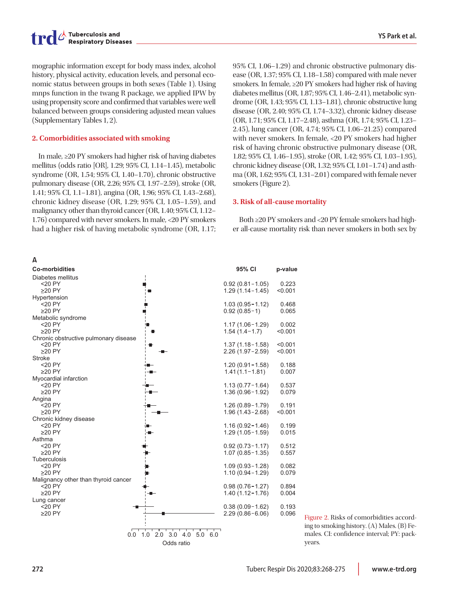mographic information except for body mass index, alcohol history, physical activity, education levels, and personal economic status between groups in both sexes (Table 1). Using mnps function in the twang R package, we applied IPW by using propensity score and confirmed that variables were well balanced between groups considering adjusted mean values (Supplementary Tables 1, 2).

#### **2. Comorbidities associated with smoking**

In male, ≥20 PY smokers had higher risk of having diabetes mellitus (odds ratio [OR], 1.29; 95% CI, 1.14–1.45), metabolic syndrome (OR, 1.54; 95% CI, 1.40–1.70), chronic obstructive pulmonary disease (OR, 2.26; 95% CI, 1.97–2.59), stroke (OR, 1.41; 95% CI, 1.1–1.81), angina (OR, 1.96; 95% CI, 1.43–2.68), chronic kidney disease (OR, 1.29; 95% CI, 1.05–1.59), and malignancy other than thyroid cancer (OR, 1.40; 95% CI, 1.12– 1.76) compared with never smokers. In male, <20 PY smokers had a higher risk of having metabolic syndrome (OR, 1.17;



95% CI, 1.06–1.29) and chronic obstructive pulmonary disease (OR, 1.37; 95% CI, 1.18–1.58) compared with male never smokers. In female, ≥20 PY smokers had higher risk of having diabetes mellitus (OR, 1.87; 95% CI, 1.46–2.41), metabolic syndrome (OR, 1.43; 95% CI, 1.13–1.81), chronic obstructive lung disease (OR, 2.40; 95% CI, 1.74–3.32), chronic kidney disease (OR, 1.71; 95% CI, 1.17–2.48), asthma (OR, 1.74; 95% CI, 1.23– 2.45), lung cancer (OR, 4.74; 95% CI, 1.06–21.25) compared with never smokers. In female, <20 PY smokers had higher risk of having chronic obstructive pulmonary disease (OR, 1.82; 95% CI, 1.46–1.95), stroke (OR, 1.42; 95% CI, 1.03–1.95), chronic kidney disease (OR, 1.32; 95% CI, 1.01–1.74) and asthma (OR, 1.62; 95% CI, 1.31–2.01) compared with female never smokers (Figure 2).

#### **3. Risk of all-cause mortality**

Both ≥20 PY smokers and <20 PY female smokers had higher all-cause mortality risk than never smokers in both sex by

> Figure 2. Risks of comorbidities according to smoking history. (A) Males. (B) Females. CI: confidence interval; PY: packyears.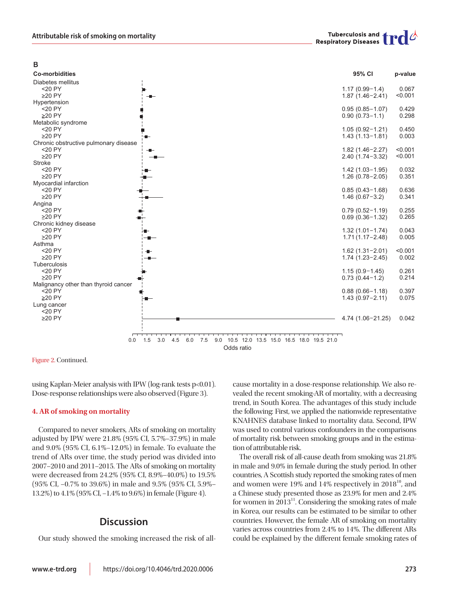**B**

| <b>Co-morbidities</b>                              | 95% CI                                                       | p-value        |
|----------------------------------------------------|--------------------------------------------------------------|----------------|
| Diabetes mellitus                                  |                                                              |                |
| $<$ 20 PY                                          | $1.17(0.99 - 1.4)$                                           | 0.067          |
| $\geq$ 20 PY                                       | $1.87(1.46 - 2.41)$                                          | < 0.001        |
| Hypertension                                       |                                                              |                |
| $<$ 20 PY                                          | $0.95(0.85 - 1.07)$                                          | 0.429          |
| $\geq$ 20 PY                                       | $0.90(0.73 - 1.1)$                                           | 0.298          |
| Metabolic syndrome                                 |                                                              |                |
| $<$ 20 PY                                          | $1.05(0.92 - 1.21)$                                          | 0.450          |
| $\geq$ 20 PY                                       | $1.43(1.13 - 1.81)$                                          | 0.003          |
| Chronic obstructive pulmonary disease<br>$<$ 20 PY |                                                              | < 0.001        |
| $\geq$ 20 PY                                       | $1.82(1.46 - 2.27)$<br>$2.40(1.74 - 3.32)$                   | < 0.001        |
| <b>Stroke</b>                                      |                                                              |                |
| $<$ 20 PY                                          | $1.42(1.03 - 1.95)$                                          | 0.032          |
| $\geq$ 20 PY                                       | $1.26(0.78-2.05)$                                            | 0.351          |
| Myocardial infarction                              |                                                              |                |
| $<$ 20 PY                                          | $0.85(0.43 - 1.68)$                                          | 0.636          |
| $\geq$ 20 PY                                       | $1.46(0.67 - 3.2)$                                           | 0.341          |
| Angina                                             |                                                              |                |
| <20 PY                                             | $0.79(0.52 - 1.19)$                                          | 0.255          |
| $\geq$ 20 PY                                       | $0.69(0.36 - 1.32)$                                          | 0.265          |
| Chronic kidney disease                             |                                                              |                |
| $<$ 20 PY                                          | $1.32(1.01 - 1.74)$                                          | 0.043          |
| $\geq$ 20 PY                                       | $1.71(1.17 - 2.48)$                                          | 0.005          |
| Asthma                                             |                                                              |                |
| $<$ 20 PY                                          | $1.62(1.31 - 2.01)$                                          | < 0.001        |
| $\geq$ 20 PY                                       | $1.74(1.23 - 2.45)$                                          | 0.002          |
| Tuberculosis<br><20 PY                             |                                                              |                |
| $\geq$ 20 PY                                       | $1.15(0.9 - 1.45)$<br>$0.73(0.44 - 1.2)$                     | 0.261<br>0.214 |
| Malignancy other than thyroid cancer               |                                                              |                |
| $<$ 20 PY                                          | $0.88(0.66 - 1.18)$                                          | 0.397          |
| $\geq$ 20 PY                                       | $1.43(0.97 - 2.11)$                                          | 0.075          |
| Lung cancer                                        |                                                              |                |
| $<$ 20 PY                                          |                                                              |                |
| $\geq$ 20 PY                                       | 4.74 (1.06-21.25)                                            | 0.042          |
|                                                    |                                                              |                |
|                                                    |                                                              |                |
| 1.5<br>3.0<br>4.5<br>0.0                           | 7.5<br>9.0<br>10.5 12.0 13.5 15.0 16.5 18.0 19.5 21.0<br>6.0 |                |
|                                                    | Odds ratio                                                   |                |
|                                                    |                                                              |                |

Figure 2. Continued.

using Kaplan-Meier analysis with IPW (log-rank tests p<0.01). Dose-response relationships were also observed (Figure 3).

#### **4. AR of smoking on mortality**

Compared to never smokers, ARs of smoking on mortality adjusted by IPW were 21.8% (95% CI, 5.7%–37.9%) in male and 9.0% (95% CI, 6.1%–12.0%) in female. To evaluate the trend of ARs over time, the study period was divided into 2007–2010 and 2011–2015. The ARs of smoking on mortality were decreased from 24.2% (95% CI, 8.9%–40.0%) to 19.5% (95% CI, –0.7% to 39.6%) in male and 9.5% (95% CI, 5.9%– 13.2%) to 4.1% (95% CI, –1.4% to 9.6%) in female (Figure 4).

### **Discussion**

Our study showed the smoking increased the risk of all-

cause mortality in a dose-response relationship. We also revealed the recent smoking-AR of mortality, with a decreasing trend, in South Korea. The advantages of this study include the following: First, we applied the nationwide representative KNAHNES database linked to mortality data. Second, IPW was used to control various confounders in the comparisons of mortality risk between smoking groups and in the estimation of attributable risk.

The overall risk of all-cause death from smoking was 21.8% in male and 9.0% in female during the study period. In other countries, A Scottish study reported the smoking rates of men and women were  $19\%$  and  $14\%$  respectively in  $2018^{10}$ , and a Chinese study presented those as 23.9% for men and 2.4% for women in  $2013<sup>11</sup>$ . Considering the smoking rates of male in Korea, our results can be estimated to be similar to other countries. However, the female AR of smoking on mortality varies across countries from 2.4% to 14%. The different ARs could be explained by the different female smoking rates of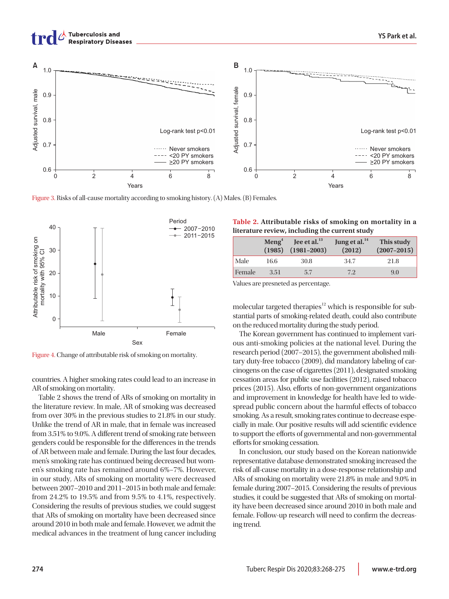



Figure 3. Risks of all-cause mortality according to smoking history. (A) Males. (B) Females.



Figure 4. Change of attributable risk of smoking on mortality.

countries. A higher smoking rates could lead to an increase in AR of smoking on mortality.

Table 2 shows the trend of ARs of smoking on mortality in the literature review. In male, AR of smoking was decreased from over 30% in the previous studies to 21.8% in our study. Unlike the trend of AR in male, that in female was increased from 3.51% to 9.0%. A different trend of smoking rate between genders could be responsible for the differences in the trends of AR between male and female. During the last four decades, men's smoking rate has continued being decreased but women's smoking rate has remained around 6%–7%. However, in our study, ARs of smoking on mortality were decreased between 2007–2010 and 2011–2015 in both male and female: from 24.2% to 19.5% and from 9.5% to 4.1%, respectively. Considering the results of previous studies, we could suggest that ARs of smoking on mortality have been decreased since around 2010 in both male and female. However, we admit the medical advances in the treatment of lung cancer including

| Table 2. Attributable risks of smoking on mortality in a |
|----------------------------------------------------------|
| literature review, including the current study           |

|        | $\mathbf{Meng}^4$ | Jee et al. <sup>13</sup><br>$(1985)$ $(1981-2003)$ | Jung et al. <sup>14</sup><br>(2012) | This study<br>$(2007 - 2015)$ |
|--------|-------------------|----------------------------------------------------|-------------------------------------|-------------------------------|
| Male   | 16.6              | 30.8                                               | 34.7                                | 21.8                          |
| Female | 3.51              | 5.7                                                | 7.2                                 | 9.0                           |

Values are presneted as percentage.

molecular targeted therapies $12$  which is responsible for substantial parts of smoking-related death, could also contribute on the reduced mortality during the study period.

The Korean government has continued to implement various anti-smoking policies at the national level. During the research period (2007–2015), the government abolished military duty-free tobacco (2009), did mandatory labeling of carcinogens on the case of cigarettes (2011), designated smoking cessation areas for public use facilities (2012), raised tobacco prices (2015). Also, efforts of non-government organizations and improvement in knowledge for health have led to widespread public concern about the harmful effects of tobacco smoking. As a result, smoking rates continue to decrease especially in male. Our positive results will add scientific evidence to support the efforts of governmental and non-governmental efforts for smoking cessation.

In conclusion, our study based on the Korean nationwide representative database demonstrated smoking increased the risk of all-cause mortality in a dose-response relationship and ARs of smoking on mortality were 21.8% in male and 9.0% in female during 2007–2015. Considering the results of previous studies, it could be suggested that ARs of smoking on mortality have been decreased since around 2010 in both male and female. Follow-up research will need to confirm the decreasing trend.